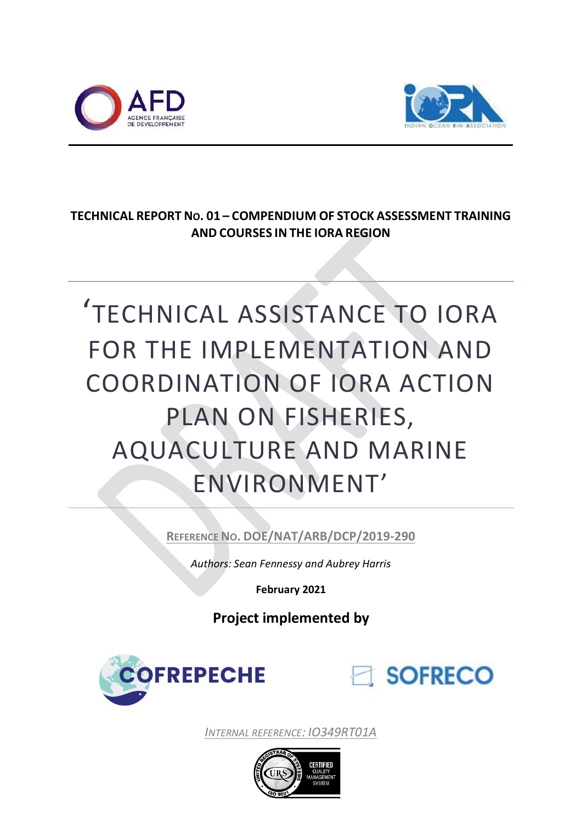



# **TECHNICAL REPORT NO. 01 – COMPENDIUM OF STOCK ASSESSMENT TRAINING AND COURSES IN THE IORA REGION**

# 'TECHNICAL ASSISTANCE TO IORA FOR THE IMPLEMENTATION AND COORDINATION OF IORA ACTION PLAN ON FISHERIES, AQUACULTURE AND MARINE ENVIRONMENT'

**REFERENCE NO. DOE/NAT/ARB/DCP/2019-290**

*Authors: Sean Fennessy and Aubrey Harris*

**February 2021**

**Project implemented by**





*INTERNAL REFERENCE: IO349RT01A*

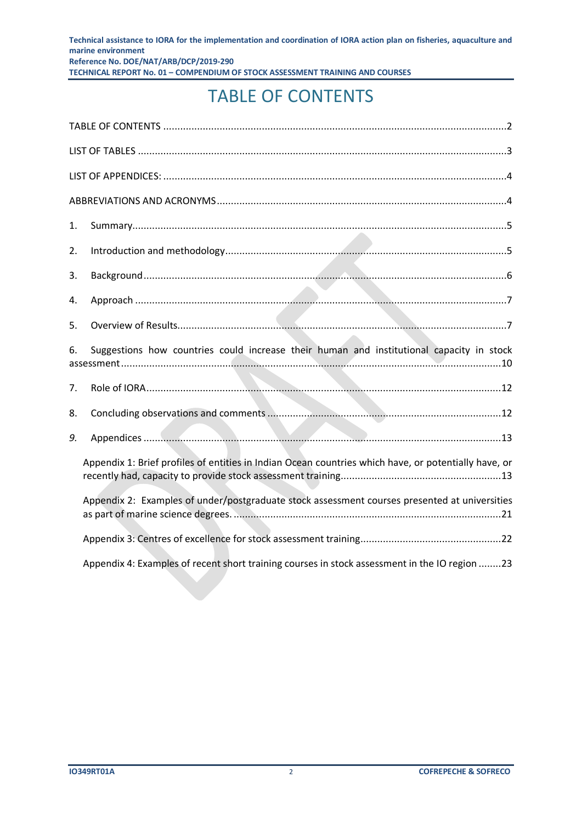# TABLE OF CONTENTS

<span id="page-1-0"></span>

| 1.                                                                                             |                                                                                                      |  |  |
|------------------------------------------------------------------------------------------------|------------------------------------------------------------------------------------------------------|--|--|
| 2.                                                                                             |                                                                                                      |  |  |
| 3.                                                                                             |                                                                                                      |  |  |
| 4.                                                                                             |                                                                                                      |  |  |
| 5.                                                                                             |                                                                                                      |  |  |
| Suggestions how countries could increase their human and institutional capacity in stock<br>6. |                                                                                                      |  |  |
| 7.                                                                                             |                                                                                                      |  |  |
| 8.                                                                                             |                                                                                                      |  |  |
| 9.                                                                                             |                                                                                                      |  |  |
|                                                                                                | Appendix 1: Brief profiles of entities in Indian Ocean countries which have, or potentially have, or |  |  |
|                                                                                                | Appendix 2: Examples of under/postgraduate stock assessment courses presented at universities        |  |  |
|                                                                                                |                                                                                                      |  |  |
|                                                                                                | Appendix 4: Examples of recent short training courses in stock assessment in the IO region 23        |  |  |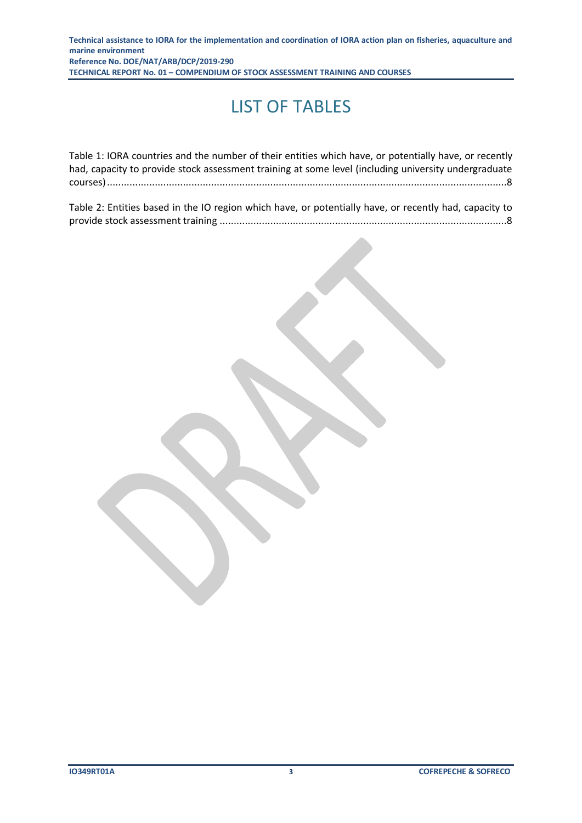# LIST OF TABLES

<span id="page-2-0"></span>

| Table 1: IORA countries and the number of their entities which have, or potentially have, or recently |
|-------------------------------------------------------------------------------------------------------|
| had, capacity to provide stock assessment training at some level (including university undergraduate  |
|                                                                                                       |
|                                                                                                       |

[Table 2: Entities based in the IO region which have, or potentially have, or recently had, capacity to](#page-7-1)  provide stock assessment training [......................................................................................................8](#page-7-1)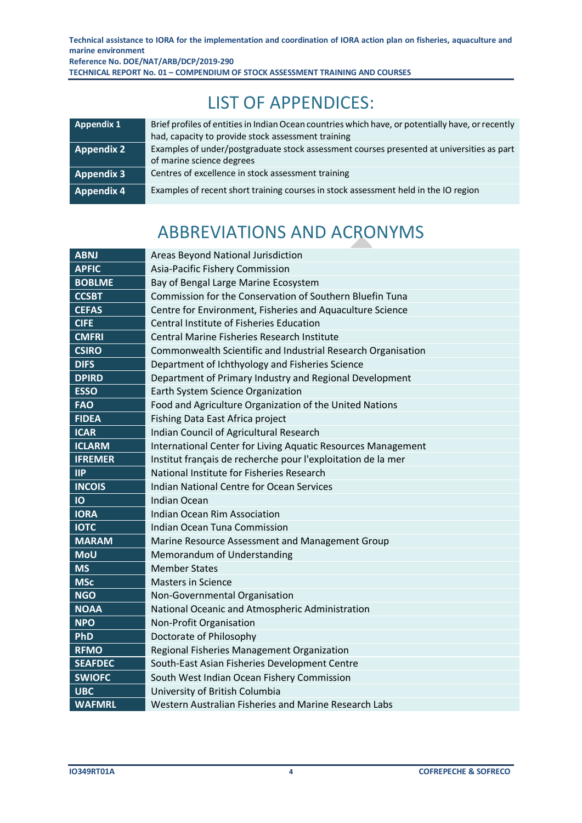LIST OF APPENDICES:

<span id="page-3-0"></span>

| Appendix 1        | Brief profiles of entities in Indian Ocean countries which have, or potentially have, or recently<br>had, capacity to provide stock assessment training |
|-------------------|---------------------------------------------------------------------------------------------------------------------------------------------------------|
| <b>Appendix 2</b> | Examples of under/postgraduate stock assessment courses presented at universities as part<br>of marine science degrees                                  |
| <b>Appendix 3</b> | Centres of excellence in stock assessment training                                                                                                      |
| Appendix 4        | Examples of recent short training courses in stock assessment held in the IO region                                                                     |

# ABBREVIATIONS AND ACRONYMS

<span id="page-3-1"></span>

| <b>ABNJ</b>    | Areas Beyond National Jurisdiction                           |
|----------------|--------------------------------------------------------------|
| <b>APFIC</b>   | Asia-Pacific Fishery Commission                              |
| <b>BOBLME</b>  | Bay of Bengal Large Marine Ecosystem                         |
| <b>CCSBT</b>   | Commission for the Conservation of Southern Bluefin Tuna     |
| <b>CEFAS</b>   | Centre for Environment, Fisheries and Aquaculture Science    |
| <b>CIFE</b>    | <b>Central Institute of Fisheries Education</b>              |
| <b>CMFRI</b>   | <b>Central Marine Fisheries Research Institute</b>           |
| <b>CSIRO</b>   | Commonwealth Scientific and Industrial Research Organisation |
| <b>DIFS</b>    | Department of Ichthyology and Fisheries Science              |
| <b>DPIRD</b>   | Department of Primary Industry and Regional Development      |
| <b>ESSO</b>    | Earth System Science Organization                            |
| <b>FAO</b>     | Food and Agriculture Organization of the United Nations      |
| <b>FIDEA</b>   | Fishing Data East Africa project                             |
| <b>ICAR</b>    | Indian Council of Agricultural Research                      |
| <b>ICLARM</b>  | International Center for Living Aquatic Resources Management |
| <b>IFREMER</b> | Institut français de recherche pour l'exploitation de la mer |
| $\mathsf{IIP}$ | National Institute for Fisheries Research                    |
| <b>INCOIS</b>  | <b>Indian National Centre for Ocean Services</b>             |
| IO             | <b>Indian Ocean</b>                                          |
| <b>IORA</b>    | Indian Ocean Rim Association                                 |
| <b>IOTC</b>    | Indian Ocean Tuna Commission                                 |
| <b>MARAM</b>   | Marine Resource Assessment and Management Group              |
| <b>MoU</b>     | Memorandum of Understanding                                  |
| <b>MS</b>      | <b>Member States</b>                                         |
| <b>MSc</b>     | <b>Masters in Science</b>                                    |
| <b>NGO</b>     | Non-Governmental Organisation                                |
| <b>NOAA</b>    | National Oceanic and Atmospheric Administration              |
| <b>NPO</b>     | Non-Profit Organisation                                      |
| PhD            | Doctorate of Philosophy                                      |
| <b>RFMO</b>    | Regional Fisheries Management Organization                   |
| <b>SEAFDEC</b> | South-East Asian Fisheries Development Centre                |
| <b>SWIOFC</b>  | South West Indian Ocean Fishery Commission                   |
| <b>UBC</b>     | University of British Columbia                               |
| <b>WAFMRL</b>  | Western Australian Fisheries and Marine Research Labs        |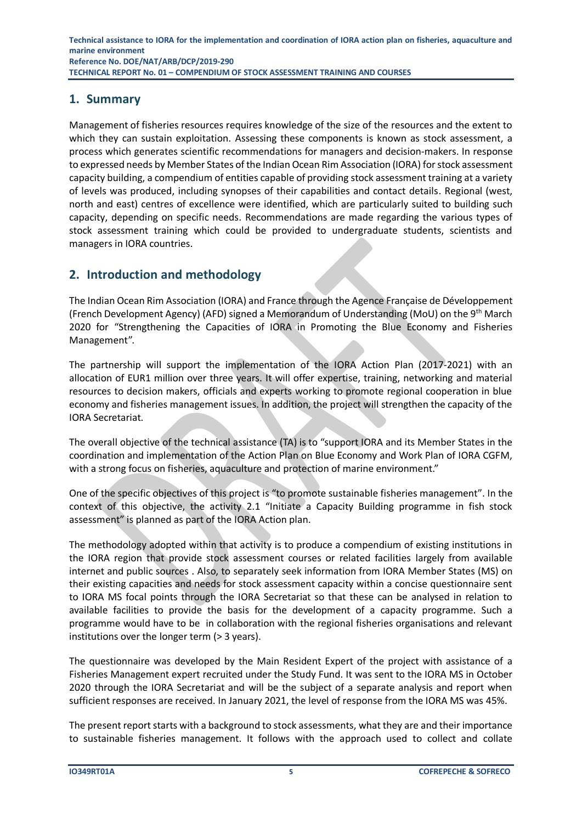# <span id="page-4-0"></span>**1. Summary**

Management of fisheries resources requires knowledge of the size of the resources and the extent to which they can sustain exploitation. Assessing these components is known as stock assessment, a process which generates scientific recommendations for managers and decision-makers. In response to expressed needs by Member States of the Indian Ocean Rim Association (IORA) for stock assessment capacity building, a compendium of entities capable of providing stock assessment training at a variety of levels was produced, including synopses of their capabilities and contact details. Regional (west, north and east) centres of excellence were identified, which are particularly suited to building such capacity, depending on specific needs. Recommendations are made regarding the various types of stock assessment training which could be provided to undergraduate students, scientists and managers in IORA countries.

# <span id="page-4-1"></span>**2. Introduction and methodology**

The Indian Ocean Rim Association (IORA) and France through the Agence Française de Développement (French Development Agency) (AFD) signed a Memorandum of Understanding (MoU) on the 9th March 2020 for "Strengthening the Capacities of IORA in Promoting the Blue Economy and Fisheries Management".

The partnership will support the implementation of the IORA Action Plan (2017-2021) with an allocation of EUR1 million over three years. It will offer expertise, training, networking and material resources to decision makers, officials and experts working to promote regional cooperation in blue economy and fisheries management issues. In addition, the project will strengthen the capacity of the IORA Secretariat.

The overall objective of the technical assistance (TA) is to "support IORA and its Member States in the coordination and implementation of the Action Plan on Blue Economy and Work Plan of IORA CGFM, with a strong focus on fisheries, aquaculture and protection of marine environment."

One of the specific objectives of this project is "to promote sustainable fisheries management". In the context of this objective, the activity 2.1 "Initiate a Capacity Building programme in fish stock assessment" is planned as part of the IORA Action plan.

The methodology adopted within that activity is to produce a compendium of existing institutions in the IORA region that provide stock assessment courses or related facilities largely from available internet and public sources . Also, to separately seek information from IORA Member States (MS) on their existing capacities and needs for stock assessment capacity within a concise questionnaire sent to IORA MS focal points through the IORA Secretariat so that these can be analysed in relation to available facilities to provide the basis for the development of a capacity programme. Such a programme would have to be in collaboration with the regional fisheries organisations and relevant institutions over the longer term (> 3 years).

The questionnaire was developed by the Main Resident Expert of the project with assistance of a Fisheries Management expert recruited under the Study Fund. It was sent to the IORA MS in October 2020 through the IORA Secretariat and will be the subject of a separate analysis and report when sufficient responses are received. In January 2021, the level of response from the IORA MS was 45%.

The present report starts with a background to stock assessments, what they are and their importance to sustainable fisheries management. It follows with the approach used to collect and collate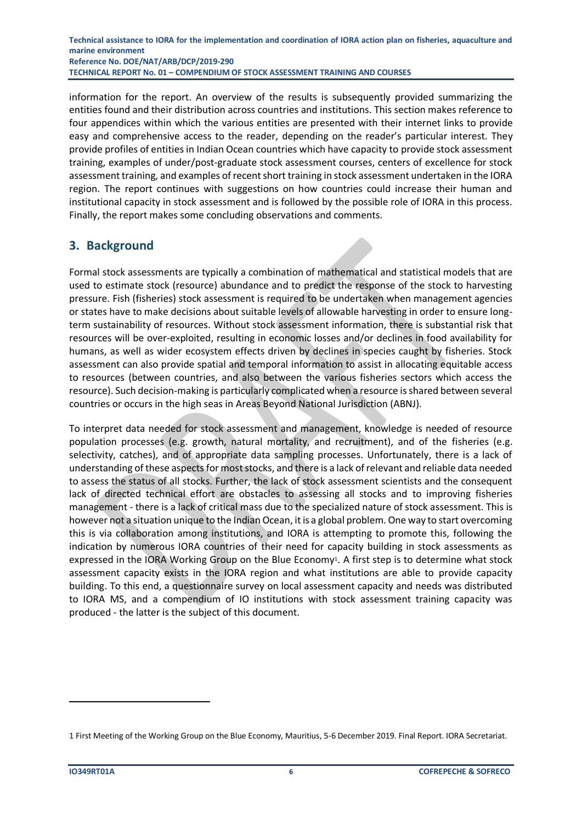information for the report. An overview of the results is subsequently provided summarizing the entities found and their distribution across countries and institutions. This section makes reference to four appendices within which the various entities are presented with their internet links to provide easy and comprehensive access to the reader, depending on the reader's particular interest. They provide profiles of entities in Indian Ocean countries which have capacity to provide stock assessment training, examples of under/post-graduate stock assessment courses, centers of excellence for stock assessment training, and examples of recent short training in stock assessment undertaken in the IORA region. The report continues with suggestions on how countries could increase their human and institutional capacity in stock assessment and is followed by the possible role of IORA in this process. Finally, the report makes some concluding observations and comments.

# <span id="page-5-0"></span>**3. Background**

Formal stock assessments are typically a combination of mathematical and statistical models that are used to estimate stock (resource) abundance and to predict the response of the stock to harvesting pressure. Fish (fisheries) stock assessment is required to be undertaken when management agencies or states have to make decisions about suitable levels of allowable harvesting in order to ensure longterm sustainability of resources. Without stock assessment information, there is substantial risk that resources will be over-exploited, resulting in economic losses and/or declines in food availability for humans, as well as wider ecosystem effects driven by declines in species caught by fisheries. Stock assessment can also provide spatial and temporal information to assist in allocating equitable access to resources (between countries, and also between the various fisheries sectors which access the resource). Such decision-making is particularly complicated when a resource is shared between several countries or occurs in the high seas in Areas Beyond National Jurisdiction (ABNJ).

To interpret data needed for stock assessment and management, knowledge is needed of resource population processes (e.g. growth, natural mortality, and recruitment), and of the fisheries (e.g. selectivity, catches), and of appropriate data sampling processes. Unfortunately, there is a lack of understanding of these aspects for most stocks, and there is a lack of relevant and reliable data needed to assess the status of all stocks. Further, the lack of stock assessment scientists and the consequent lack of directed technical effort are obstacles to assessing all stocks and to improving fisheries management - there is a lack of critical mass due to the specialized nature of stock assessment. This is however not a situation unique to the Indian Ocean, it is a global problem. One way to start overcoming this is via collaboration among institutions, and IORA is attempting to promote this, following the indication by numerous IORA countries of their need for capacity building in stock assessments as expressed in the IORA Working Group on the Blue Economy<sup>1</sup>. A first step is to determine what stock assessment capacity exists in the IORA region and what institutions are able to provide capacity building. To this end, a questionnaire survey on local assessment capacity and needs was distributed to IORA MS, and a compendium of IO institutions with stock assessment training capacity was produced - the latter is the subject of this document.

<sup>1</sup> First Meeting of the Working Group on the Blue Economy, Mauritius, 5-6 December 2019. Final Report. IORA Secretariat.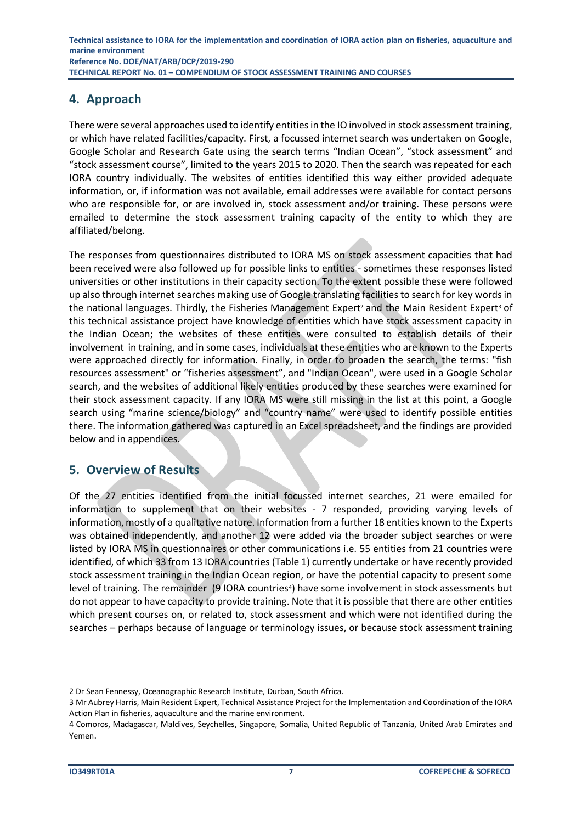# <span id="page-6-0"></span>**4. Approach**

There were several approaches used to identify entities in the IO involved in stock assessment training, or which have related facilities/capacity. First, a focussed internet search was undertaken on Google, Google Scholar and Research Gate using the search terms "Indian Ocean", "stock assessment" and "stock assessment course", limited to the years 2015 to 2020. Then the search was repeated for each IORA country individually. The websites of entities identified this way either provided adequate information, or, if information was not available, email addresses were available for contact persons who are responsible for, or are involved in, stock assessment and/or training. These persons were emailed to determine the stock assessment training capacity of the entity to which they are affiliated/belong.

The responses from questionnaires distributed to IORA MS on stock assessment capacities that had been received were also followed up for possible links to entities - sometimes these responses listed universities or other institutions in their capacity section. To the extent possible these were followed up also through internet searches making use of Google translating facilities to search for key words in the national languages. Thirdly, the Fisheries Management Expert<sup>2</sup> and the Main Resident Expert<sup>3</sup> of this technical assistance project have knowledge of entities which have stock assessment capacity in the Indian Ocean; the websites of these entities were consulted to establish details of their involvement in training, and in some cases, individuals at these entities who are known to the Experts were approached directly for information. Finally, in order to broaden the search, the terms: "fish resources assessment" or "fisheries assessment", and "Indian Ocean", were used in a Google Scholar search, and the websites of additional likely entities produced by these searches were examined for their stock assessment capacity. If any IORA MS were still missing in the list at this point, a Google search using "marine science/biology" and "country name" were used to identify possible entities there. The information gathered was captured in an Excel spreadsheet, and the findings are provided below and in appendices.

# <span id="page-6-1"></span>**5. Overview of Results**

Of the 27 entities identified from the initial focussed internet searches, 21 were emailed for information to supplement that on their websites - 7 responded, providing varying levels of information, mostly of a qualitative nature. Information from a further 18 entities known to the Experts was obtained independently, and another 12 were added via the broader subject searches or were listed by IORA MS in questionnaires or other communications i.e. 55 entities from 21 countries were identified, of which 33 from 13 IORA countries (Table 1) currently undertake or have recently provided stock assessment training in the Indian Ocean region, or have the potential capacity to present some level of training. The remainder (9 IORA countries<sup>4</sup>) have some involvement in stock assessments but do not appear to have capacity to provide training. Note that it is possible that there are other entities which present courses on, or related to, stock assessment and which were not identified during the searches – perhaps because of language or terminology issues, or because stock assessment training

<sup>2</sup> Dr Sean Fennessy, Oceanographic Research Institute, Durban, South Africa.

<sup>3</sup> Mr Aubrey Harris, Main Resident Expert, Technical Assistance Project for the Implementation and Coordination of the IORA Action Plan in fisheries, aquaculture and the marine environment.

<sup>4</sup> Comoros, Madagascar, Maldives, Seychelles, Singapore, Somalia, United Republic of Tanzania, United Arab Emirates and Yemen.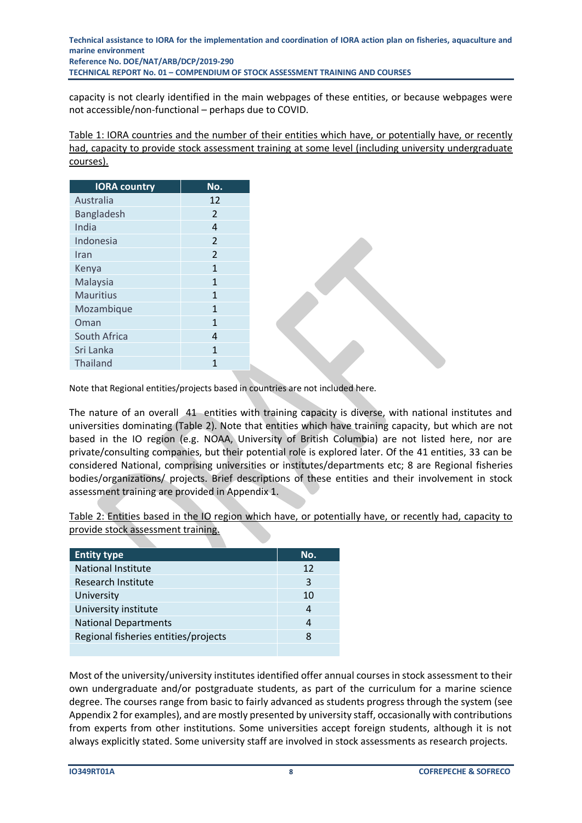capacity is not clearly identified in the main webpages of these entities, or because webpages were not accessible/non-functional – perhaps due to COVID.

<span id="page-7-0"></span>Table 1: IORA countries and the number of their entities which have, or potentially have, or recently had, capacity to provide stock assessment training at some level (including university undergraduate courses).

| No.            |
|----------------|
| 12             |
| $\overline{2}$ |
| 4              |
| $\overline{2}$ |
| $\overline{2}$ |
| $\mathbf{1}$   |
| $\mathbf{1}$   |
| $\mathbf{1}$   |
| $\mathbf{1}$   |
| $\mathbf{1}$   |
| 4              |
| $\mathbf{1}$   |
| 1              |
|                |

Note that Regional entities/projects based in countries are not included here.

The nature of an overall 41 entities with training capacity is diverse, with national institutes and universities dominating (Table 2). Note that entities which have training capacity, but which are not based in the IO region (e.g. NOAA, University of British Columbia) are not listed here, nor are private/consulting companies, but their potential role is explored later. Of the 41 entities, 33 can be considered National, comprising universities or institutes/departments etc; 8 are Regional fisheries bodies/organizations/ projects. Brief descriptions of these entities and their involvement in stock assessment training are provided in Appendix 1.

<span id="page-7-1"></span>Table 2: Entities based in the IO region which have, or potentially have, or recently had, capacity to provide stock assessment training.

| <b>Entity type</b>                   | No. |
|--------------------------------------|-----|
| <b>National Institute</b>            | 12  |
| Research Institute                   | 3   |
| University                           | 10  |
| University institute                 |     |
| <b>National Departments</b>          |     |
| Regional fisheries entities/projects | я   |
|                                      |     |

Most of the university/university institutes identified offer annual courses in stock assessment to their own undergraduate and/or postgraduate students, as part of the curriculum for a marine science degree. The courses range from basic to fairly advanced as students progress through the system (see Appendix 2 for examples), and are mostly presented by university staff, occasionally with contributions from experts from other institutions. Some universities accept foreign students, although it is not always explicitly stated. Some university staff are involved in stock assessments as research projects.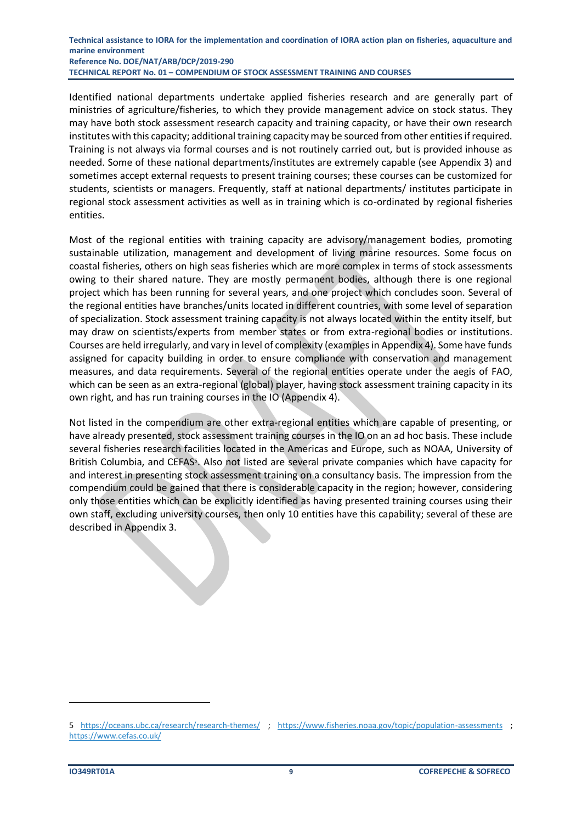Identified national departments undertake applied fisheries research and are generally part of ministries of agriculture/fisheries, to which they provide management advice on stock status. They may have both stock assessment research capacity and training capacity, or have their own research institutes with this capacity; additional training capacity may be sourced from other entities if required. Training is not always via formal courses and is not routinely carried out, but is provided inhouse as needed. Some of these national departments/institutes are extremely capable (see Appendix 3) and sometimes accept external requests to present training courses; these courses can be customized for students, scientists or managers. Frequently, staff at national departments/ institutes participate in regional stock assessment activities as well as in training which is co-ordinated by regional fisheries entities.

Most of the regional entities with training capacity are advisory/management bodies, promoting sustainable utilization, management and development of living marine resources. Some focus on coastal fisheries, others on high seas fisheries which are more complex in terms of stock assessments owing to their shared nature. They are mostly permanent bodies, although there is one regional project which has been running for several years, and one project which concludes soon. Several of the regional entities have branches/units located in different countries, with some level of separation of specialization. Stock assessment training capacity is not always located within the entity itself, but may draw on scientists/experts from member states or from extra-regional bodies or institutions. Courses are held irregularly, and vary in level of complexity (examples in Appendix 4). Some have funds assigned for capacity building in order to ensure compliance with conservation and management measures, and data requirements. Several of the regional entities operate under the aegis of FAO, which can be seen as an extra-regional (global) player, having stock assessment training capacity in its own right, and has run training courses in the IO (Appendix 4).

Not listed in the compendium are other extra-regional entities which are capable of presenting, or have already presented, stock assessment training courses in the IO on an ad hoc basis. These include several fisheries research facilities located in the Americas and Europe, such as NOAA, University of British Columbia, and CEFAS<sup>5</sup>. Also not listed are several private companies which have capacity for and interest in presenting stock assessment training on a consultancy basis. The impression from the compendium could be gained that there is considerable capacity in the region; however, considering only those entities which can be explicitly identified as having presented training courses using their own staff, excluding university courses, then only 10 entities have this capability; several of these are described in Appendix 3.

<sup>5</sup> <https://oceans.ubc.ca/research/research-themes/> ; <https://www.fisheries.noaa.gov/topic/population-assessments> ; https://www.cefas.co.uk/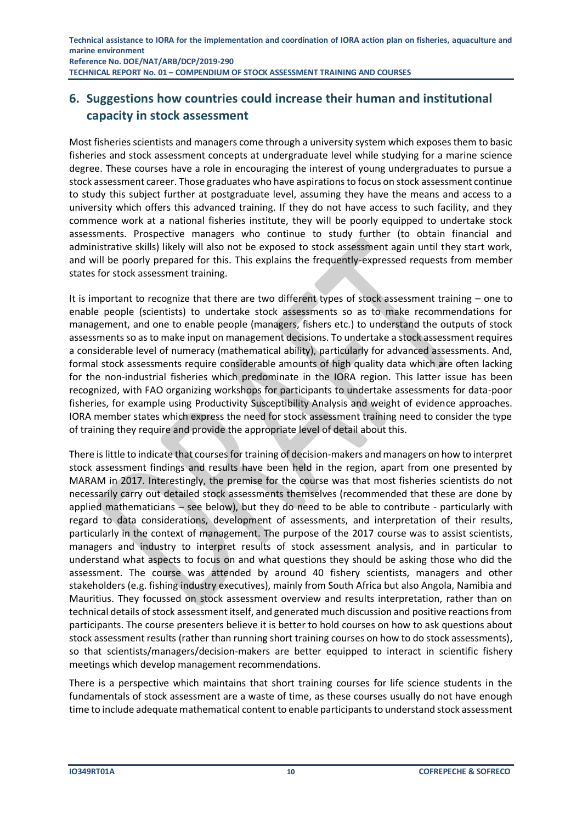# <span id="page-9-0"></span>**6. Suggestions how countries could increase their human and institutional capacity in stock assessment**

Most fisheries scientists and managers come through a university system which exposes them to basic fisheries and stock assessment concepts at undergraduate level while studying for a marine science degree. These courses have a role in encouraging the interest of young undergraduates to pursue a stock assessment career. Those graduates who have aspirations to focus on stock assessment continue to study this subject further at postgraduate level, assuming they have the means and access to a university which offers this advanced training. If they do not have access to such facility, and they commence work at a national fisheries institute, they will be poorly equipped to undertake stock assessments. Prospective managers who continue to study further (to obtain financial and administrative skills) likely will also not be exposed to stock assessment again until they start work, and will be poorly prepared for this. This explains the frequently-expressed requests from member states for stock assessment training.

It is important to recognize that there are two different types of stock assessment training – one to enable people (scientists) to undertake stock assessments so as to make recommendations for management, and one to enable people (managers, fishers etc.) to understand the outputs of stock assessments so as to make input on management decisions. To undertake a stock assessment requires a considerable level of numeracy (mathematical ability), particularly for advanced assessments. And, formal stock assessments require considerable amounts of high quality data which are often lacking for the non-industrial fisheries which predominate in the IORA region. This latter issue has been recognized, with FAO organizing workshops for participants to undertake assessments for data-poor fisheries, for example using Productivity Susceptibility Analysis and weight of evidence approaches. IORA member states which express the need for stock assessment training need to consider the type of training they require and provide the appropriate level of detail about this.

There is little to indicate that courses for training of decision-makers and managers on how to interpret stock assessment findings and results have been held in the region, apart from one presented by MARAM in 2017. Interestingly, the premise for the course was that most fisheries scientists do not necessarily carry out detailed stock assessments themselves (recommended that these are done by applied mathematicians – see below), but they do need to be able to contribute - particularly with regard to data considerations, development of assessments, and interpretation of their results, particularly in the context of management. The purpose of the 2017 course was to assist scientists, managers and industry to interpret results of stock assessment analysis, and in particular to understand what aspects to focus on and what questions they should be asking those who did the assessment. The course was attended by around 40 fishery scientists, managers and other stakeholders (e.g. fishing industry executives), mainly from South Africa but also Angola, Namibia and Mauritius. They focussed on stock assessment overview and results interpretation, rather than on technical details of stock assessment itself, and generated much discussion and positive reactions from participants. The course presenters believe it is better to hold courses on how to ask questions about stock assessment results (rather than running short training courses on how to do stock assessments), so that scientists/managers/decision-makers are better equipped to interact in scientific fishery meetings which develop management recommendations.

There is a perspective which maintains that short training courses for life science students in the fundamentals of stock assessment are a waste of time, as these courses usually do not have enough time to include adequate mathematical content to enable participants to understand stock assessment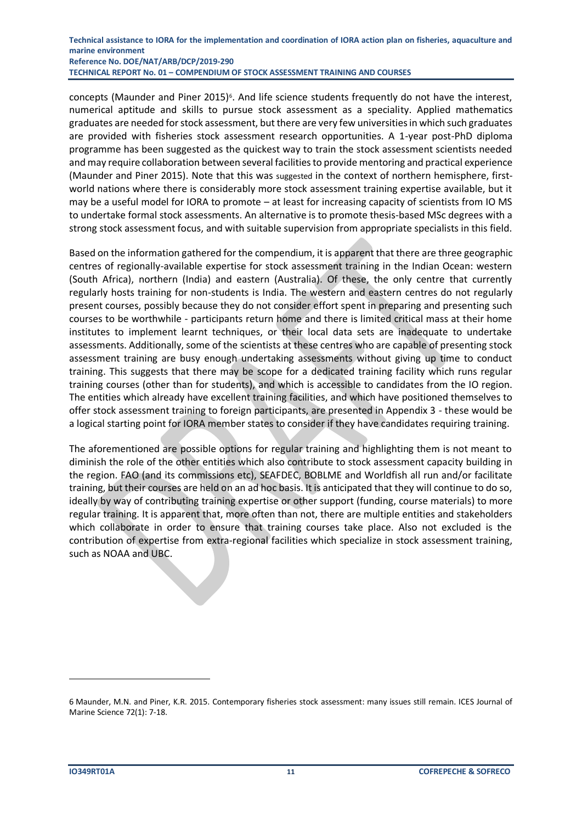concepts (Maunder and Piner 2015)<sup>6</sup>. And life science students frequently do not have the interest, numerical aptitude and skills to pursue stock assessment as a speciality. Applied mathematics graduates are needed for stock assessment, but there are very few universities in which such graduates are provided with fisheries stock assessment research opportunities. A 1-year post-PhD diploma programme has been suggested as the quickest way to train the stock assessment scientists needed and may require collaboration between several facilities to provide mentoring and practical experience (Maunder and Piner 2015). Note that this was suggested in the context of northern hemisphere, firstworld nations where there is considerably more stock assessment training expertise available, but it may be a useful model for IORA to promote – at least for increasing capacity of scientists from IO MS to undertake formal stock assessments. An alternative is to promote thesis-based MSc degrees with a strong stock assessment focus, and with suitable supervision from appropriate specialists in this field.

Based on the information gathered for the compendium, it is apparent that there are three geographic centres of regionally-available expertise for stock assessment training in the Indian Ocean: western (South Africa), northern (India) and eastern (Australia). Of these, the only centre that currently regularly hosts training for non-students is India. The western and eastern centres do not regularly present courses, possibly because they do not consider effort spent in preparing and presenting such courses to be worthwhile - participants return home and there is limited critical mass at their home institutes to implement learnt techniques, or their local data sets are inadequate to undertake assessments. Additionally, some of the scientists at these centres who are capable of presenting stock assessment training are busy enough undertaking assessments without giving up time to conduct training. This suggests that there may be scope for a dedicated training facility which runs regular training courses (other than for students), and which is accessible to candidates from the IO region. The entities which already have excellent training facilities, and which have positioned themselves to offer stock assessment training to foreign participants, are presented in Appendix 3 - these would be a logical starting point for IORA member states to consider if they have candidates requiring training.

The aforementioned are possible options for regular training and highlighting them is not meant to diminish the role of the other entities which also contribute to stock assessment capacity building in the region. FAO (and its commissions etc), SEAFDEC, BOBLME and Worldfish all run and/or facilitate training, but their courses are held on an ad hoc basis. It is anticipated that they will continue to do so, ideally by way of contributing training expertise or other support (funding, course materials) to more regular training. It is apparent that, more often than not, there are multiple entities and stakeholders which collaborate in order to ensure that training courses take place. Also not excluded is the contribution of expertise from extra-regional facilities which specialize in stock assessment training, such as NOAA and UBC.

<sup>6</sup> Maunder, M.N. and Piner, K.R. 2015. Contemporary fisheries stock assessment: many issues still remain. ICES Journal of Marine Science 72(1): 7-18.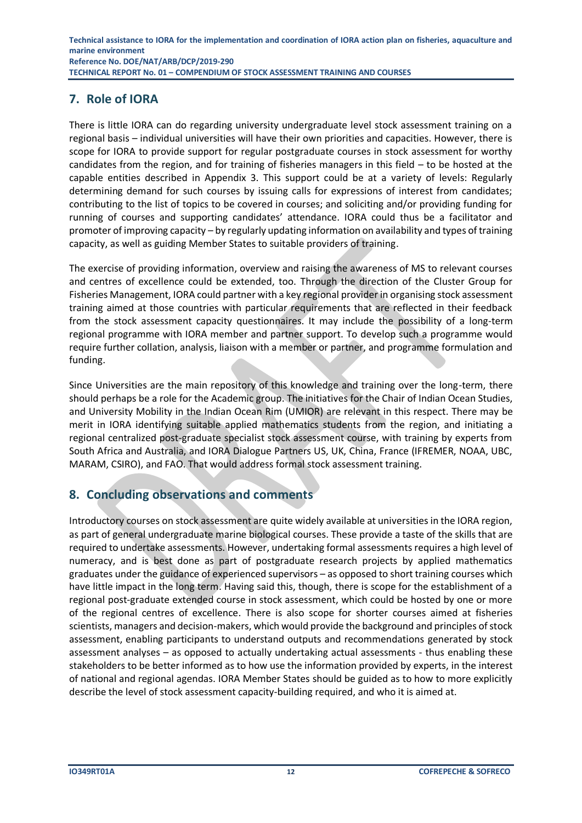# <span id="page-11-0"></span>**7. Role of IORA**

There is little IORA can do regarding university undergraduate level stock assessment training on a regional basis – individual universities will have their own priorities and capacities. However, there is scope for IORA to provide support for regular postgraduate courses in stock assessment for worthy candidates from the region, and for training of fisheries managers in this field – to be hosted at the capable entities described in Appendix 3. This support could be at a variety of levels: Regularly determining demand for such courses by issuing calls for expressions of interest from candidates; contributing to the list of topics to be covered in courses; and soliciting and/or providing funding for running of courses and supporting candidates' attendance. IORA could thus be a facilitator and promoter of improving capacity – by regularly updating information on availability and types of training capacity, as well as guiding Member States to suitable providers of training.

The exercise of providing information, overview and raising the awareness of MS to relevant courses and centres of excellence could be extended, too. Through the direction of the Cluster Group for Fisheries Management, IORA could partner with a key regional provider in organising stock assessment training aimed at those countries with particular requirements that are reflected in their feedback from the stock assessment capacity questionnaires. It may include the possibility of a long-term regional programme with IORA member and partner support. To develop such a programme would require further collation, analysis, liaison with a member or partner, and programme formulation and funding.

Since Universities are the main repository of this knowledge and training over the long-term, there should perhaps be a role for the Academic group. The initiatives for the Chair of Indian Ocean Studies, and University Mobility in the Indian Ocean Rim (UMIOR) are relevant in this respect. There may be merit in IORA identifying suitable applied mathematics students from the region, and initiating a regional centralized post-graduate specialist stock assessment course, with training by experts from South Africa and Australia, and IORA Dialogue Partners US, UK, China, France (IFREMER, NOAA, UBC, MARAM, CSIRO), and FAO. That would address formal stock assessment training.

# <span id="page-11-1"></span>**8. Concluding observations and comments**

Introductory courses on stock assessment are quite widely available at universities in the IORA region, as part of general undergraduate marine biological courses. These provide a taste of the skills that are required to undertake assessments. However, undertaking formal assessments requires a high level of numeracy, and is best done as part of postgraduate research projects by applied mathematics graduates under the guidance of experienced supervisors – as opposed to short training courses which have little impact in the long term. Having said this, though, there is scope for the establishment of a regional post-graduate extended course in stock assessment, which could be hosted by one or more of the regional centres of excellence. There is also scope for shorter courses aimed at fisheries scientists, managers and decision-makers, which would provide the background and principles of stock assessment, enabling participants to understand outputs and recommendations generated by stock assessment analyses – as opposed to actually undertaking actual assessments - thus enabling these stakeholders to be better informed as to how use the information provided by experts, in the interest of national and regional agendas. IORA Member States should be guided as to how to more explicitly describe the level of stock assessment capacity-building required, and who it is aimed at.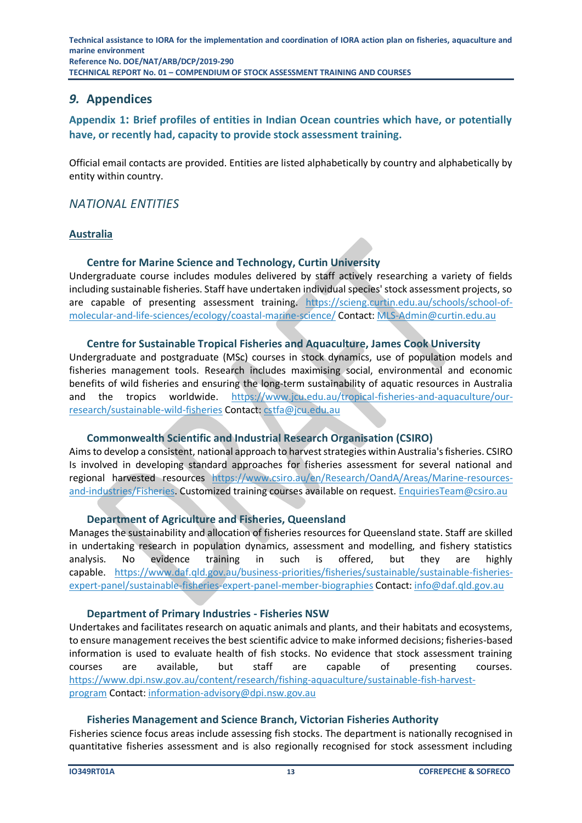# <span id="page-12-0"></span>*9.* **Appendices**

<span id="page-12-1"></span>**Appendix 1: Brief profiles of entities in Indian Ocean countries which have, or potentially have, or recently had, capacity to provide stock assessment training.**

Official email contacts are provided. Entities are listed alphabetically by country and alphabetically by entity within country.

### *NATIONAL ENTITIES*

#### **Australia**

#### **Centre for Marine Science and Technology, Curtin University**

Undergraduate course includes modules delivered by staff actively researching a variety of fields including sustainable fisheries. Staff have undertaken individual species' stock assessment projects, so are capable of presenting assessment training. [https://scieng.curtin.edu.au/schools/school-of](https://scieng.curtin.edu.au/schools/school-of-molecular-and-life-sciences/ecology/coastal-marine-science/)[molecular-and-life-sciences/ecology/coastal-marine-science/](https://scieng.curtin.edu.au/schools/school-of-molecular-and-life-sciences/ecology/coastal-marine-science/) Contact: [MLS-Admin@curtin.edu.au](mailto:MLS-Admin@curtin.edu.au)

#### **Centre for Sustainable Tropical Fisheries and Aquaculture, James Cook University**

Undergraduate and postgraduate (MSc) courses in stock dynamics, use of population models and fisheries management tools. Research includes maximising social, environmental and economic benefits of wild fisheries and ensuring the long-term sustainability of aquatic resources in Australia and the tropics worldwide. [https://www.jcu.edu.au/tropical-fisheries-and-aquaculture/our](https://www.jcu.edu.au/tropical-fisheries-and-aquaculture/our-research/sustainable-wild-fisheries)[research/sustainable-wild-fisheries](https://www.jcu.edu.au/tropical-fisheries-and-aquaculture/our-research/sustainable-wild-fisheries) Contact: [cstfa@jcu.edu.au](mailto:cstfa@jcu.edu.au)

#### **Commonwealth Scientific and Industrial Research Organisation (CSIRO)**

Aims to develop a consistent, national approach to harvest strategies within Australia's fisheries. CSIRO Is involved in developing standard approaches for fisheries assessment for several national and regional harvested resources https://www.csiro.au/en/Research/OandA/Areas/Marine-resources-and-industries/Fisheries. Customized training courses available on request. [EnquiriesTeam@csiro.au](mailto:EnquiriesTeam@csiro.au)

#### **Department of Agriculture and Fisheries, Queensland**

Manages the sustainability and allocation of fisheries resources for Queensland state. Staff are skilled in undertaking research in population dynamics, assessment and modelling, and fishery statistics analysis. No evidence training in such is offered, but they are highly capable. [https://www.daf.qld.gov.au/business-priorities/fisheries/sustainable/sustainable-fisheries](https://www.daf.qld.gov.au/business-priorities/fisheries/sustainable/sustainable-fisheries-expert-panel/sustainable-fisheries-expert-panel-member-biographies)[expert-panel/sustainable-fisheries-expert-panel-member-biographies](https://www.daf.qld.gov.au/business-priorities/fisheries/sustainable/sustainable-fisheries-expert-panel/sustainable-fisheries-expert-panel-member-biographies) Contact: [info@daf.qld.gov.au](mailto:info@daf.qld.gov.au)

#### **Department of Primary Industries - Fisheries NSW**

Undertakes and facilitates research on aquatic animals and plants, and their habitats and ecosystems, to ensure management receives the best scientific advice to make informed decisions; fisheries-based information is used to evaluate health of fish stocks. No evidence that stock assessment training courses are available, but staff are capable of presenting courses. [https://www.dpi.nsw.gov.au/content/research/fishing-aquaculture/sustainable-fish-harvest](https://www.dpi.nsw.gov.au/content/research/fishing-aquaculture/sustainable-fish-harvest-program)[program](https://www.dpi.nsw.gov.au/content/research/fishing-aquaculture/sustainable-fish-harvest-program) Contact: [information-advisory@dpi.nsw.gov.au](mailto:information-advisory@dpi.nsw.gov.au)

#### **Fisheries Management and Science Branch, Victorian Fisheries Authority**

Fisheries science focus areas include assessing fish stocks. The department is nationally recognised in quantitative fisheries assessment and is also regionally recognised for stock assessment including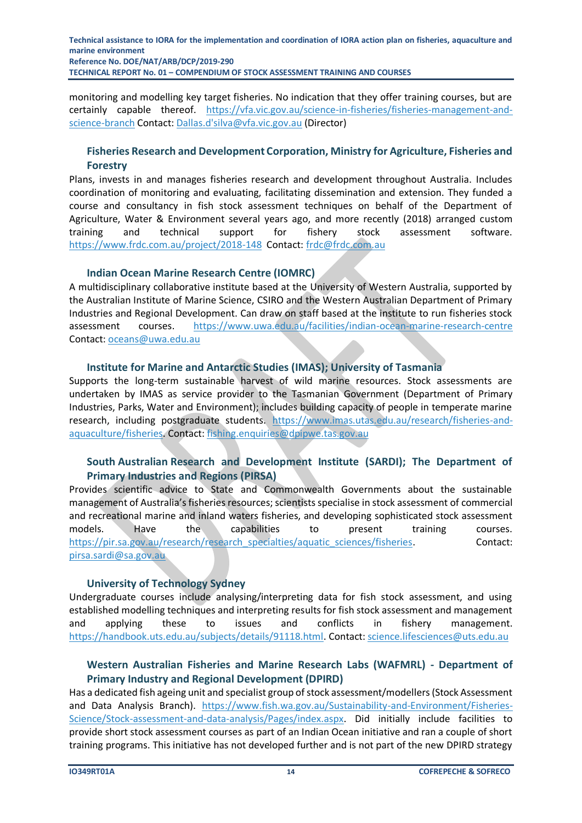monitoring and modelling key target fisheries. No indication that they offer training courses, but are certainly capable thereof. [https://vfa.vic.gov.au/science-in-fisheries/fisheries-management-and](https://vfa.vic.gov.au/science-in-fisheries/fisheries-management-and-science-branch)[science-branch](https://vfa.vic.gov.au/science-in-fisheries/fisheries-management-and-science-branch) Contact: Dallas.d'silva@vfa.vic.gov.au (Director)

#### **Fisheries Research and Development Corporation, Ministry for Agriculture, Fisheries and Forestry**

Plans, invests in and manages fisheries research and development throughout Australia. Includes coordination of monitoring and evaluating, facilitating dissemination and extension. They funded a course and consultancy in fish stock assessment techniques on behalf of the Department of Agriculture, Water & Environment several years ago, and more recently (2018) arranged custom training and technical support for fishery stock assessment software. <https://www.frdc.com.au/project/2018-148>Contact: [frdc@frdc.com.au](mailto:frdc@frdc.com.au) 

#### **Indian Ocean Marine Research Centre (IOMRC)**

A multidisciplinary collaborative institute based at the University of Western Australia, supported by the Australian Institute of Marine Science, CSIRO and the Western Australian Department of Primary Industries and Regional Development. Can draw on staff based at the institute to run fisheries stock assessment courses. <https://www.uwa.edu.au/facilities/indian-ocean-marine-research-centre> Contact: [oceans@uwa.edu.au](mailto:oceans@uwa.edu.au)

#### **Institute for Marine and Antarctic Studies (IMAS); University of Tasmania**

Supports the long-term sustainable harvest of wild marine resources. Stock assessments are undertaken by IMAS as service provider to the Tasmanian Government (Department of Primary Industries, Parks, Water and Environment); includes building capacity of people in temperate marine research, including postgraduate students. [https://www.imas.utas.edu.au/research/fisheries-and](https://www.imas.utas.edu.au/research/fisheries-and-aquaculture/fisheries)[aquaculture/fisheries.](https://www.imas.utas.edu.au/research/fisheries-and-aquaculture/fisheries) Contact: [fishing.enquiries@dpipwe.tas.gov.au](mailto:fishing.enquiries@dpipwe.tas.gov.au)

#### **South Australian Research and Development Institute (SARDI); The Department of Primary Industries and Regions (PIRSA)**

Provides scientific advice to State and Commonwealth Governments about the sustainable management of Australia's fisheries resources; scientists specialise in stock assessment of commercial and recreational marine and inland waters fisheries, and developing sophisticated stock assessment models. Have the capabilities to present training courses. [https://pir.sa.gov.au/research/research\\_specialties/aquatic\\_sciences/fisheries.](https://pir.sa.gov.au/research/research_specialties/aquatic_sciences/fisheries) Contact: [pirsa.sardi@sa.gov.au](mailto:pirsa.sardi@sa.gov.au)

#### **University of Technology Sydney**

Undergraduate courses include analysing/interpreting data for fish stock assessment, and using established modelling techniques and interpreting results for fish stock assessment and management and applying these to issues and conflicts in fishery management. [https://handbook.uts.edu.au/subjects/details/91118.html.](https://handbook.uts.edu.au/subjects/details/91118.html) Contact: [science.lifesciences@uts.edu.au](mailto:science.lifesciences@uts.edu.au)

#### **Western Australian Fisheries and Marine Research Labs (WAFMRL) - Department of Primary Industry and Regional Development (DPIRD)**

Has a dedicated fish ageing unit and specialist group of stock assessment/modellers (Stock Assessment and Data Analysis Branch). [https://www.fish.wa.gov.au/Sustainability-and-Environment/Fisheries-](https://www.fish.wa.gov.au/Sustainability-and-Environment/Fisheries-Science/Stock-assessment-and-data-analysis/Pages/index.aspx)[Science/Stock-assessment-and-data-analysis/Pages/index.aspx.](https://www.fish.wa.gov.au/Sustainability-and-Environment/Fisheries-Science/Stock-assessment-and-data-analysis/Pages/index.aspx) Did initially include facilities to provide short stock assessment courses as part of an Indian Ocean initiative and ran a couple of short training programs. This initiative has not developed further and is not part of the new DPIRD strategy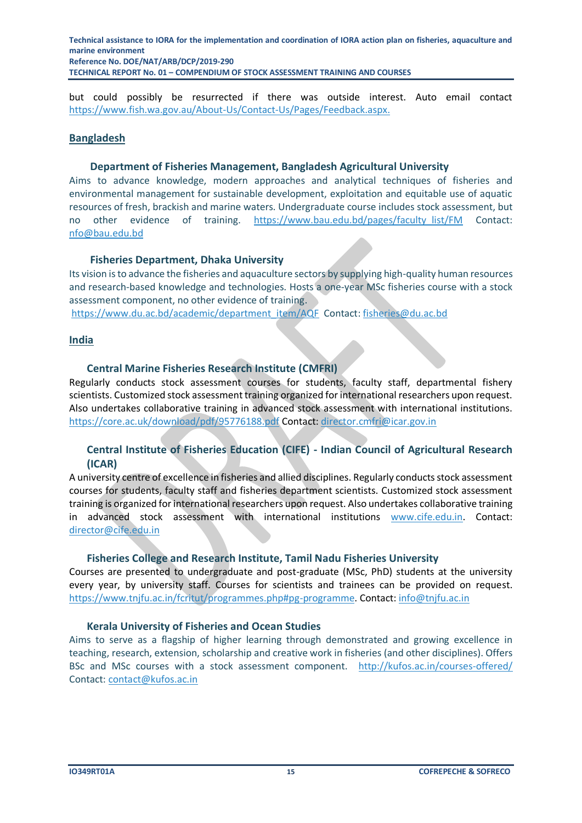but could possibly be resurrected if there was outside interest. Auto email contact [https://www.fish.wa.gov.au/About-Us/Contact-Us/Pages/Feedback.aspx.](https://www.fish.wa.gov.au/About-Us/Contact-Us/Pages/Feedback.aspx)

#### **Bangladesh**

#### **Department of Fisheries Management, Bangladesh Agricultural University**

Aims to advance knowledge, modern approaches and analytical techniques of fisheries and environmental management for sustainable development, exploitation and equitable use of aquatic resources of fresh, brackish and marine waters. Undergraduate course includes stock assessment, but no other evidence of training. [https://www.bau.edu.bd/pages/faculty\\_list/FM](https://www.bau.edu.bd/pages/faculty_list/FM) Contact: [nfo@bau.edu.bd](mailto:nfo@bau.edu.bd)

#### **Fisheries Department, Dhaka University**

Its vision is to advance the fisheries and aquaculture sectors by supplying high-quality human resources and research-based knowledge and technologies. Hosts a one-year MSc fisheries course with a stock assessment component, no other evidence of training.

[https://www.du.ac.bd/academic/department\\_item/AQF](https://www.du.ac.bd/academic/department_item/AQF) Contact[: fisheries@du.ac.bd](mailto:fisheries@du.ac.bd)

#### **India**

#### **Central Marine Fisheries Research Institute (CMFRI)**

Regularly conducts stock assessment courses for students, faculty staff, departmental fishery scientists. Customized stock assessment training organized for international researchers upon request. Also undertakes collaborative training in advanced stock assessment with international institutions. <https://core.ac.uk/download/pdf/95776188.pdf> Contact[: director.cmfri@icar.gov.in](mailto:director.cmfri@icar.gov.in)

#### **Central Institute of Fisheries Education (CIFE) - Indian Council of Agricultural Research (ICAR)**

A university centre of excellence in fisheries and allied disciplines. Regularly conducts stock assessment courses for students, faculty staff and fisheries department scientists. Customized stock assessment training is organized for international researchers upon request. Also undertakes collaborative training in advanced stock assessment with international institutions [www.cife.edu.in.](http://www.cife.edu.in/) Contact: [director@cife.edu.in](mailto:director@cife.edu.in)

#### **Fisheries College and Research Institute, Tamil Nadu Fisheries University**

Courses are presented to undergraduate and post-graduate (MSc, PhD) students at the university every year, by university staff. Courses for scientists and trainees can be provided on request. [https://www.tnjfu.ac.in/fcritut/programmes.php#pg-programme.](https://www.tnjfu.ac.in/fcritut/programmes.php#pg-programme) Contact: [info@tnjfu.ac.in](mailto:info@tnjfu.ac.in)

#### **Kerala University of Fisheries and Ocean Studies**

Aims to serve as a flagship of higher learning through demonstrated and growing excellence in teaching, research, extension, scholarship and creative work in fisheries (and other disciplines). Offers BSc and MSc courses with a stock assessment component. <http://kufos.ac.in/courses-offered/> Contact: [contact@kufos.ac.in](mailto:contact@kufos.ac.in)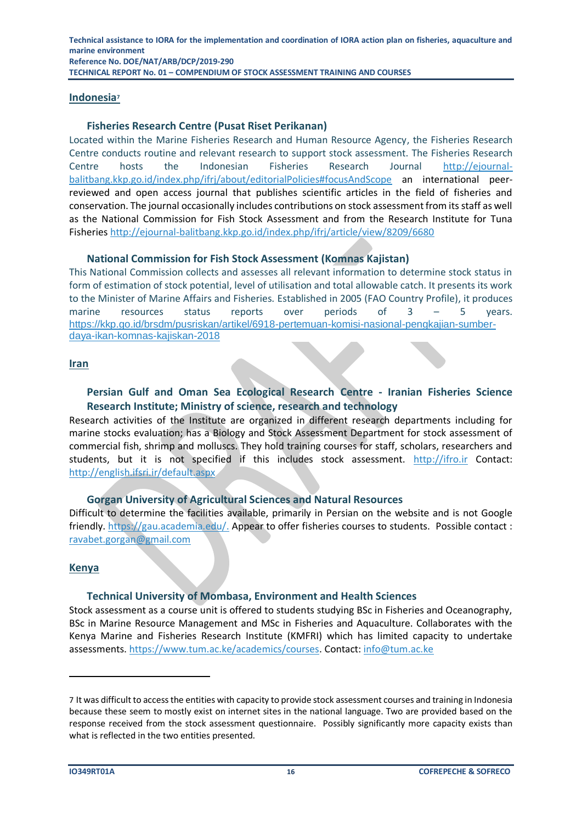#### **Indonesia<sup>7</sup>**

#### **Fisheries Research Centre (Pusat Riset Perikanan)**

Located within the Marine Fisheries Research and Human Resource Agency, the Fisheries Research Centre conducts routine and relevant research to support stock assessment. The Fisheries Research Centre hosts the Indonesian Fisheries Research Journal [http://ejournal](http://ejournal-balitbang.kkp.go.id/index.php/ifrj/about/editorialPolicies#focusAndScope)[balitbang.kkp.go.id/index.php/ifrj/about/editorialPolicies#focusAndScope](http://ejournal-balitbang.kkp.go.id/index.php/ifrj/about/editorialPolicies#focusAndScope) an international peerreviewed and open access journal that publishes scientific articles in the field of fisheries and conservation. The journal occasionally includes contributions on stock assessment from its staff as well as the National Commission for Fish Stock Assessment and from the Research Institute for Tuna Fisherie[s http://ejournal-balitbang.kkp.go.id/index.php/ifrj/article/view/8209/6680](http://ejournal-balitbang.kkp.go.id/index.php/ifrj/article/view/8209/6680)

#### **National Commission for Fish Stock Assessment (Komnas Kajistan)**

This National Commission collects and assesses all relevant information to determine stock status in form of estimation of stock potential, level of utilisation and total allowable catch. It presents its work to the Minister of Marine Affairs and Fisheries. Established in 2005 (FAO Country Profile), it produces marine resources status reports over periods of 3 – 5 years. [https://kkp.go.id/brsdm/pusriskan/artikel/6918-pertemuan-komisi-nasional-pengkajian-sumber](https://kkp.go.id/brsdm/pusriskan/artikel/6918-pertemuan-komisi-nasional-pengkajian-sumber-daya-ikan-komnas-kajiskan-2018)[daya-ikan-komnas-kajiskan-2018](https://kkp.go.id/brsdm/pusriskan/artikel/6918-pertemuan-komisi-nasional-pengkajian-sumber-daya-ikan-komnas-kajiskan-2018)

#### **Iran**

#### **Persian Gulf and Oman Sea Ecological Research Centre - Iranian Fisheries Science Research Institute; Ministry of science, research and technology**

Research activities of the Institute are organized in different research departments including for marine stocks evaluation; has a Biology and Stock Assessment Department for stock assessment of commercial fish, shrimp and molluscs. They hold training courses for staff, scholars, researchers and students, but it is not specified if this includes stock assessment. [http://ifro.ir](http://ifro.ir/) Contact: http://english.ifsri.ir/default.aspx

#### **Gorgan University of Agricultural Sciences and Natural Resources**

Difficult to determine the facilities available, primarily in Persian on the website and is not Google friendly. https://gau.academia.edu/. Appear to offer fisheries courses to students. Possible contact : [ravabet.gorgan@gmail.com](mailto:ravabet.gorgan@gmail.com)

#### **Kenya**

#### **Technical University of Mombasa, Environment and Health Sciences**

Stock assessment as a course unit is offered to students studying BSc in Fisheries and Oceanography, BSc in Marine Resource Management and MSc in Fisheries and Aquaculture. Collaborates with the Kenya Marine and Fisheries Research Institute (KMFRI) which has limited capacity to undertake assessments. [https://www.tum.ac.ke/academics/courses.](https://www.tum.ac.ke/academics/courses) Contact: [info@tum.ac.ke](mailto:info@tum.ac.ke)

<sup>7</sup> It was difficult to access the entities with capacity to provide stock assessment courses and training in Indonesia because these seem to mostly exist on internet sites in the national language. Two are provided based on the response received from the stock assessment questionnaire. Possibly significantly more capacity exists than what is reflected in the two entities presented.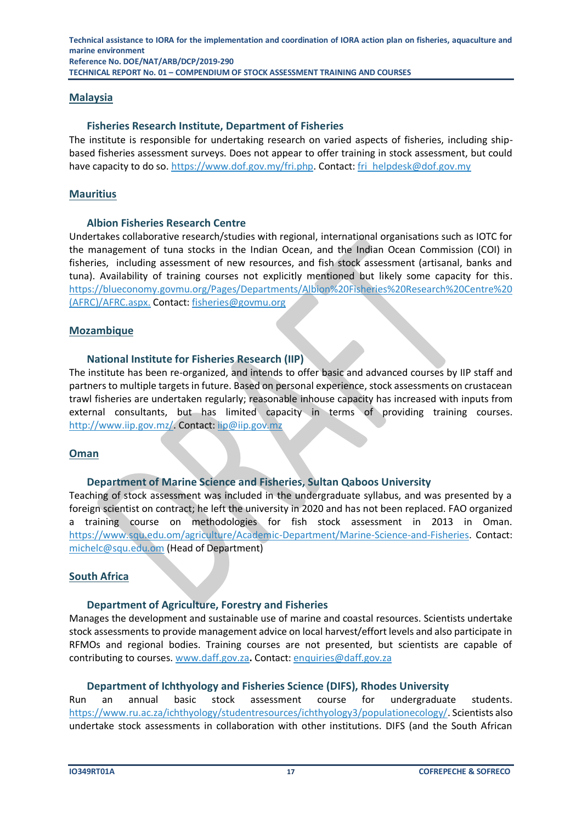#### **Malaysia**

#### **Fisheries Research Institute, Department of Fisheries**

The institute is responsible for undertaking research on varied aspects of fisheries, including shipbased fisheries assessment surveys. Does not appear to offer training in stock assessment, but could have capacity to do so. [https://www.dof.gov.my/fri.php.](https://www.dof.gov.my/fri.php) Contact: [fri\\_helpdesk@dof.gov.my](mailto:fri_helpdesk@dof.gov.my)

#### **Mauritius**

#### **Albion Fisheries Research Centre**

Undertakes collaborative research/studies with regional, international organisations such as IOTC for the management of tuna stocks in the Indian Ocean, and the Indian Ocean Commission (COI) in fisheries, including assessment of new resources, and fish stock assessment (artisanal, banks and tuna). Availability of training courses not explicitly mentioned but likely some capacity for this. https://blueconomy.govmu.org/Pages/Departments/Albion%20Fisheries%20Research%20Centre%20 (AFRC)/AFRC.aspx. Contact: [fisheries@govmu.org](mailto:fisheries@govmu.org)

#### **Mozambique**

#### **National Institute for Fisheries Research (IIP)**

The institute has been re-organized, and intends to offer basic and advanced courses by IIP staff and partners to multiple targets in future. Based on personal experience, stock assessments on crustacean trawl fisheries are undertaken regularly; reasonable inhouse capacity has increased with inputs from external consultants, but has limited capacity in terms of providing training courses. [http://www.iip.gov.mz/.](http://www.iip.gov.mz/) Contact[: iip@iip.gov.mz](mailto:iip@iip.gov.mz)

#### **Oman**

#### **Department of Marine Science and Fisheries, Sultan Qaboos University**

Teaching of stock assessment was included in the undergraduate syllabus, and was presented by a foreign scientist on contract; he left the university in 2020 and has not been replaced. FAO organized a training course on methodologies for fish stock assessment in 2013 in Oman. [https://www.squ.edu.om/agriculture/Academic-Department/Marine-Science-and-Fisheries.](https://www.squ.edu.om/agriculture/Academic-Department/Marine-Science-and-Fisheries) Contact: [michelc@squ.edu.om](mailto:michelc@squ.edu.om) (Head of Department)

#### **South Africa**

#### **Department of Agriculture, Forestry and Fisheries**

Manages the development and sustainable use of marine and coastal resources. Scientists undertake stock assessments to provide management advice on local harvest/effort levels and also participate in RFMOs and regional bodies. Training courses are not presented, but scientists are capable of contributing to courses. [www.daff.gov.za](http://www.daff.gov.za/)**.** Contact[: enquiries@daff.gov.za](mailto:enquiries@daff.gov.za)

#### **Department of Ichthyology and Fisheries Science (DIFS), Rhodes University**

Run an annual basic stock assessment course for undergraduate students. [https://www.ru.ac.za/ichthyology/studentresources/ichthyology3/populationecology/.](https://www.ru.ac.za/ichthyology/studentresources/ichthyology3/populationecology/) Scientists also undertake stock assessments in collaboration with other institutions. DIFS (and the South African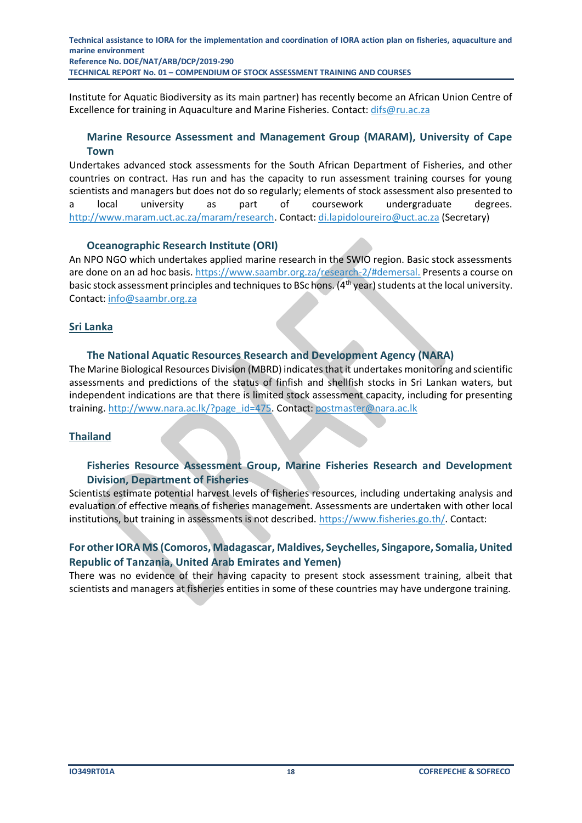Institute for Aquatic Biodiversity as its main partner) has recently become an African Union Centre of Excellence for training in Aquaculture and Marine Fisheries. Contact[: difs@ru.ac.za](mailto:difs@ru.ac.za)

#### **Marine Resource Assessment and Management Group (MARAM), University of Cape Town**

Undertakes advanced stock assessments for the South African Department of Fisheries, and other countries on contract. Has run and has the capacity to run assessment training courses for young scientists and managers but does not do so regularly; elements of stock assessment also presented to a local university as part of coursework undergraduate degrees. [http://www.maram.uct.ac.za/maram/research.](http://www.maram.uct.ac.za/maram/research) Contact: [di.lapidoloureiro@uct.ac.za](mailto:di.lapidoloureiro@uct.ac.za) (Secretary)

#### **Oceanographic Research Institute (ORI)**

An NPO NGO which undertakes applied marine research in the SWIO region. Basic stock assessments are done on an ad hoc basis. https://www.saambr.org.za/research-2/#demersal. Presents a course on basic stock assessment principles and techniques to BSc hons. (4<sup>th</sup> year) students at the local university. Contact: [info@saambr.org.za](mailto:info@saambr.org.za)

#### **Sri Lanka**

#### **The National Aquatic Resources Research and Development Agency (NARA)**

The Marine Biological Resources Division (MBRD) indicates that it undertakes monitoring and scientific assessments and predictions of the status of finfish and shellfish stocks in Sri Lankan waters, but independent indications are that there is limited stock assessment capacity, including for presenting training[. http://www.nara.ac.lk/?page\\_id=475.](http://www.nara.ac.lk/?page_id=475) Contact: postmaster@nara.ac.lk

#### **Thailand**

#### **Fisheries Resource Assessment Group, Marine Fisheries Research and Development Division, Department of Fisheries**

Scientists estimate potential harvest levels of fisheries resources, including undertaking analysis and evaluation of effective means of fisheries management. Assessments are undertaken with other local institutions, but training in assessments is not described. [https://www.fisheries.go.th/.](https://www.fisheries.go.th/) Contact:

#### **For other IORA MS (Comoros, Madagascar, Maldives, Seychelles, Singapore, Somalia, United Republic of Tanzania, United Arab Emirates and Yemen)**

There was no evidence of their having capacity to present stock assessment training, albeit that scientists and managers at fisheries entities in some of these countries may have undergone training.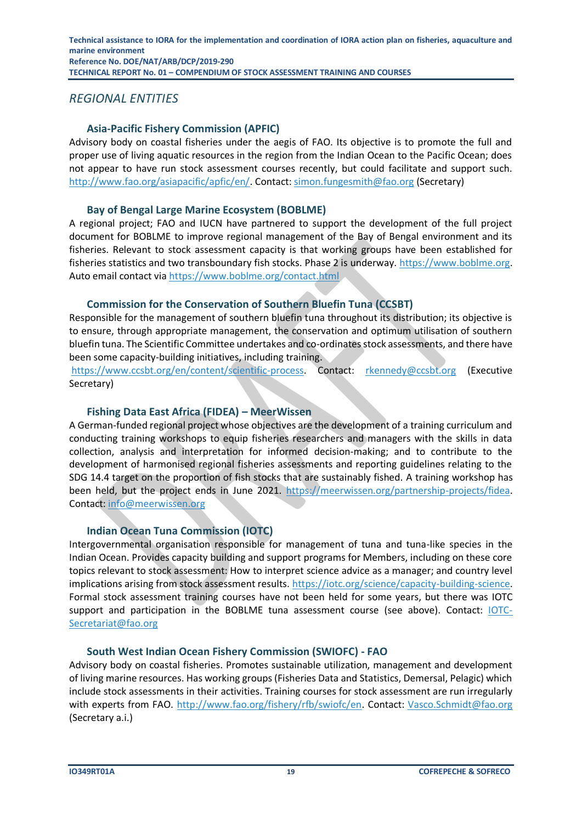# *REGIONAL ENTITIES*

# **Asia-Pacific Fishery Commission (APFIC)**

Advisory body on coastal fisheries under the aegis of FAO. Its objective is to promote the full and proper use of living aquatic resources in the region from the Indian Ocean to the Pacific Ocean; does not appear to have run stock assessment courses recently, but could facilitate and support such. [http://www.fao.org/asiapacific/apfic/en/.](http://www.fao.org/asiapacific/apfic/en/) Contact: [simon.fungesmith@fao.org](mailto:simon.fungesmith@fao.org) (Secretary)

#### **Bay of Bengal Large Marine Ecosystem (BOBLME)**

A regional project; FAO and IUCN have partnered to support the development of the full project document for BOBLME to improve regional management of the Bay of Bengal environment and its fisheries. Relevant to stock assessment capacity is that working groups have been established for fisheries statistics and two transboundary fish stocks. Phase 2 is underway. [https://www.boblme.org.](https://www.boblme.org/) Auto email contact via<https://www.boblme.org/contact.html>

### **Commission for the Conservation of Southern Bluefin Tuna (CCSBT)**

Responsible for the management of southern bluefin tuna throughout its distribution; its objective is to ensure, through appropriate management, the conservation and optimum utilisation of southern bluefin tuna. The Scientific Committee undertakes and co-ordinates stock assessments, and there have been some capacity-building initiatives, including training.

[https://www.ccsbt.org/en/content/scientific-process.](https://www.ccsbt.org/en/content/scientific-process) Contact: [rkennedy@ccsbt.org](mailto:rkennedy@ccsbt.org) (Executive Secretary)

### **Fishing Data East Africa (FIDEA) – MeerWissen**

A German-funded regional project whose objectives are the development of a training curriculum and conducting training workshops to equip fisheries researchers and managers with the skills in data collection, analysis and interpretation for informed decision-making; and to contribute to the development of harmonised regional fisheries assessments and reporting guidelines relating to the SDG 14.4 target on the proportion of fish stocks that are sustainably fished. A training workshop has been held, but the project ends in June 2021. [https://meerwissen.org/partnership-projects/fidea.](https://meerwissen.org/partnership-projects/fidea) Contact: [info@meerwissen.org](mailto:info@meerwissen.org)

# **Indian Ocean Tuna Commission (IOTC)**

Intergovernmental organisation responsible for management of tuna and tuna-like species in the Indian Ocean. Provides capacity building and support programs for Members, including on these core topics relevant to stock assessment: How to interpret science advice as a manager; and country level implications arising from stock assessment results. [https://iotc.org/science/capacity-building-science.](https://iotc.org/science/capacity-building-science) Formal stock assessment training courses have not been held for some years, but there was IOTC support and participation in the BOBLME tuna assessment course (see above). Contact: [IOTC-](mailto:IOTC-Secretariat@fao.org)[Secretariat@fao.org](mailto:IOTC-Secretariat@fao.org) 

#### **South West Indian Ocean Fishery Commission (SWIOFC) - FAO**

Advisory body on coastal fisheries. Promotes sustainable utilization, management and development of living marine resources. Has working groups (Fisheries Data and Statistics, Demersal, Pelagic) which include stock assessments in their activities. Training courses for stock assessment are run irregularly with experts from FAO. [http://www.fao.org/fishery/rfb/swiofc/en.](http://www.fao.org/fishery/rfb/swiofc/en) Contact: [Vasco.Schmidt@fao.org](mailto:Vasco.Schmidt@fao.org) (Secretary a.i.)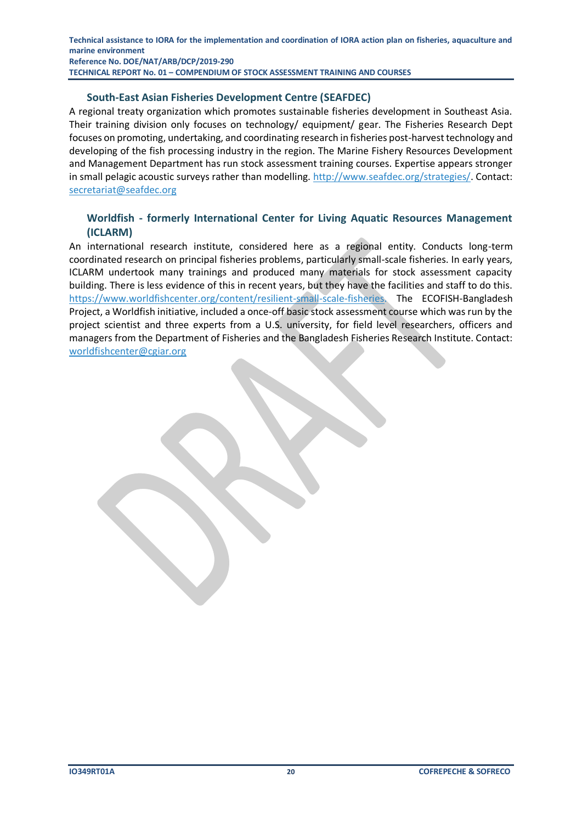#### **South-East Asian Fisheries Development Centre (SEAFDEC)**

A regional treaty organization which promotes sustainable fisheries development in Southeast Asia. Their training division only focuses on technology/ equipment/ gear. The Fisheries Research Dept focuses on promoting, undertaking, and coordinating research in fisheries post-harvest technology and developing of the fish processing industry in the region. The Marine Fishery Resources Development and Management Department has run stock assessment training courses. Expertise appears stronger in small pelagic acoustic surveys rather than modelling. [http://www.seafdec.org/strategies/.](http://www.seafdec.org/strategies/) Contact: [secretariat@seafdec.org](mailto:secretariat@seafdec.org)

#### **Worldfish - formerly International Center for Living Aquatic Resources Management (ICLARM)**

An international research institute, considered here as a regional entity. Conducts long-term coordinated research on principal fisheries problems, particularly small-scale fisheries. In early years, ICLARM undertook many trainings and produced many materials for stock assessment capacity building. There is less evidence of this in recent years, but they have the facilities and staff to do this. [https://www.worldfishcenter.org/content/resilient-small-scale-fisheries.](https://www.worldfishcenter.org/content/resilient-small-scale-fisheries) The ECOFISH-Bangladesh Project, a Worldfish initiative, included a once-off basic stock assessment course which was run by the project scientist and three experts from a U.S. university, for field level researchers, officers and managers from the Department of Fisheries and the Bangladesh Fisheries Research Institute. Contact: [worldfishcenter@cgiar.org](mailto:worldfishcenter@cgiar.org)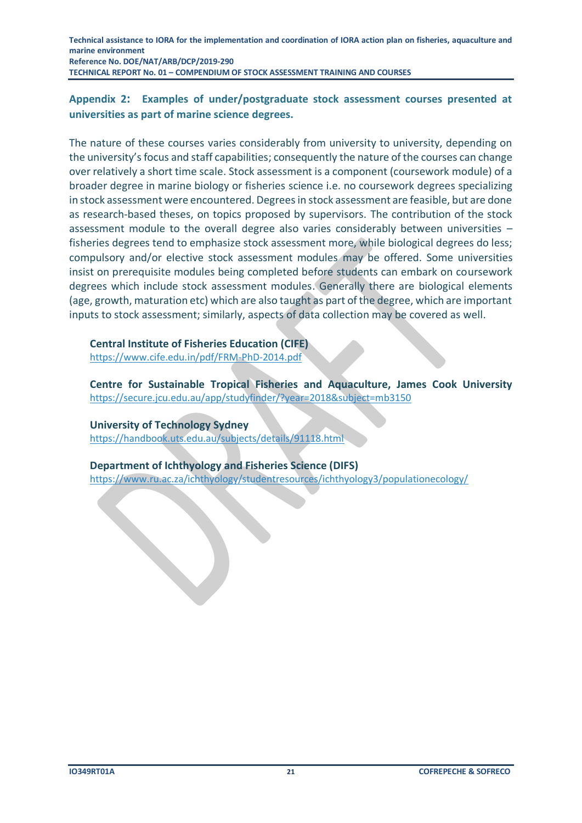#### <span id="page-20-0"></span>**Appendix 2: Examples of under/postgraduate stock assessment courses presented at universities as part of marine science degrees.**

The nature of these courses varies considerably from university to university, depending on the university's focus and staff capabilities; consequently the nature of the courses can change over relatively a short time scale. Stock assessment is a component (coursework module) of a broader degree in marine biology or fisheries science i.e. no coursework degrees specializing in stock assessment were encountered. Degrees in stock assessment are feasible, but are done as research-based theses, on topics proposed by supervisors. The contribution of the stock assessment module to the overall degree also varies considerably between universities – fisheries degrees tend to emphasize stock assessment more, while biological degrees do less; compulsory and/or elective stock assessment modules may be offered. Some universities insist on prerequisite modules being completed before students can embark on coursework degrees which include stock assessment modules. Generally there are biological elements (age, growth, maturation etc) which are also taught as part of the degree, which are important inputs to stock assessment; similarly, aspects of data collection may be covered as well.

**Central Institute of Fisheries Education (CIFE)**  <https://www.cife.edu.in/pdf/FRM-PhD-2014.pdf>

**Centre for Sustainable Tropical Fisheries and Aquaculture, James Cook University**  <https://secure.jcu.edu.au/app/studyfinder/?year=2018&subject=mb3150>

**University of Technology Sydney** 

<https://handbook.uts.edu.au/subjects/details/91118.html>

**Department of Ichthyology and Fisheries Science (DIFS)** 

<https://www.ru.ac.za/ichthyology/studentresources/ichthyology3/populationecology/>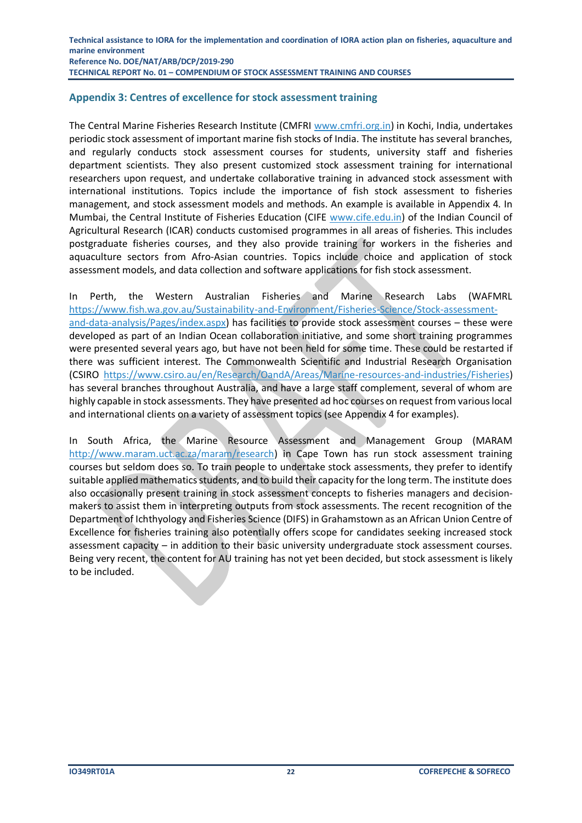#### <span id="page-21-0"></span>**Appendix 3: Centres of excellence for stock assessment training**

The Central Marine Fisheries Research Institute (CMFRI [www.cmfri.org.in\)](http://www.cmfri.org.in/) in Kochi, India, undertakes periodic stock assessment of important marine fish stocks of India. The institute has several branches, and regularly conducts stock assessment courses for students, university staff and fisheries department scientists. They also present customized stock assessment training for international researchers upon request, and undertake collaborative training in advanced stock assessment with international institutions. Topics include the importance of fish stock assessment to fisheries management, and stock assessment models and methods. An example is available in Appendix 4. In Mumbai, the Central Institute of Fisheries Education (CIFE [www.cife.edu.in\)](http://www.cife.edu.in/) of the Indian Council of Agricultural Research (ICAR) conducts customised programmes in all areas of fisheries. This includes postgraduate fisheries courses, and they also provide training for workers in the fisheries and aquaculture sectors from Afro-Asian countries. Topics include choice and application of stock assessment models, and data collection and software applications for fish stock assessment.

In Perth, the Western Australian Fisheries and Marine Research Labs (WAFMRL [https://www.fish.wa.gov.au/Sustainability-and-Environment/Fisheries-Science/Stock-assessment](https://www.fish.wa.gov.au/Sustainability-and-Environment/Fisheries-Science/Stock-assessment-and-data-analysis/Pages/index.aspx)[and-data-analysis/Pages/index.aspx\)](https://www.fish.wa.gov.au/Sustainability-and-Environment/Fisheries-Science/Stock-assessment-and-data-analysis/Pages/index.aspx) has facilities to provide stock assessment courses – these were developed as part of an Indian Ocean collaboration initiative, and some short training programmes were presented several years ago, but have not been held for some time. These could be restarted if there was sufficient interest. The Commonwealth Scientific and Industrial Research Organisation (CSIRO https://www.csiro.au/en/Research/OandA/Areas/Marine-resources-and-industries/Fisheries) has several branches throughout Australia, and have a large staff complement, several of whom are highly capable in stock assessments. They have presented ad hoc courses on request from various local and international clients on a variety of assessment topics (see Appendix 4 for examples).

In South Africa, the Marine Resource Assessment and Management Group (MARAM [http://www.maram.uct.ac.za/maram/research\)](http://www.maram.uct.ac.za/maram/research) in Cape Town has run stock assessment training courses but seldom does so. To train people to undertake stock assessments, they prefer to identify suitable applied mathematics students, and to build their capacity for the long term. The institute does also occasionally present training in stock assessment concepts to fisheries managers and decisionmakers to assist them in interpreting outputs from stock assessments. The recent recognition of the Department of Ichthyology and Fisheries Science (DIFS) in Grahamstown as an African Union Centre of Excellence for fisheries training also potentially offers scope for candidates seeking increased stock assessment capacity – in addition to their basic university undergraduate stock assessment courses. Being very recent, the content for AU training has not yet been decided, but stock assessment is likely to be included.